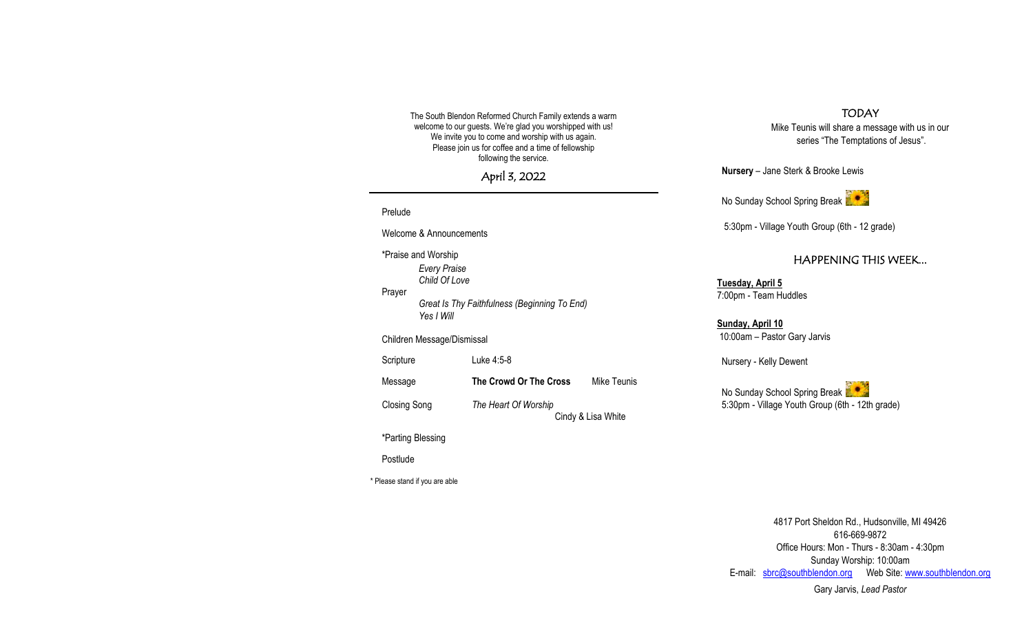The South Blendon Reformed Church Family extends a warm welcome to our guests. We're glad you worshipped with us! We invite you to come and worship with us again. Please join us for coffee and a time of fellowship following the service.

April 3, 2022

# Prelude Welcome & Announcements \*Praise and Worship *Every Praise Child Of Love* Prayer *Great Is Thy Faithfulness (Beginning To End) Yes I Will* Children Message/Dismissal Scripture Luke 4:5-8 Message **The Crowd Or The Cross** Mike Teunis Closing Song *The Heart Of Worship* Cindy & Lisa White \*Parting Blessing

Postlude

\* Please stand if you are able

## TODAY

Mike Teunis will share a message with us in our series "The Temptations of Jesus".

**Nursery** – Jane Sterk & Brooke Lewis

No Sunday School Spring Break

5:30pm - Village Youth Group (6th - 12 grade)

# HAPPENING THIS WEEK...

**Tuesday, April 5** 7:00pm - Team Huddles

**Sunday, April 10** 10:00am – Pastor Gary Jarvis

Nursery - Kelly Dewent

No Sunday School Spring Break 5:30pm - Village Youth Group (6th - 12th grade)

4817 Port Sheldon Rd., Hudsonville, MI 49426 616-669-9872 Office Hours: Mon - Thurs - 8:30am - 4:30pm Sunday Worship: 10:00am E-mail: [sbrc@southblendon.org](mailto:sbrc@southblendon.org) Web Site: [www.southblendon.org](http://www.southblendon.org/)

Gary Jarvis, *Lead Pastor*